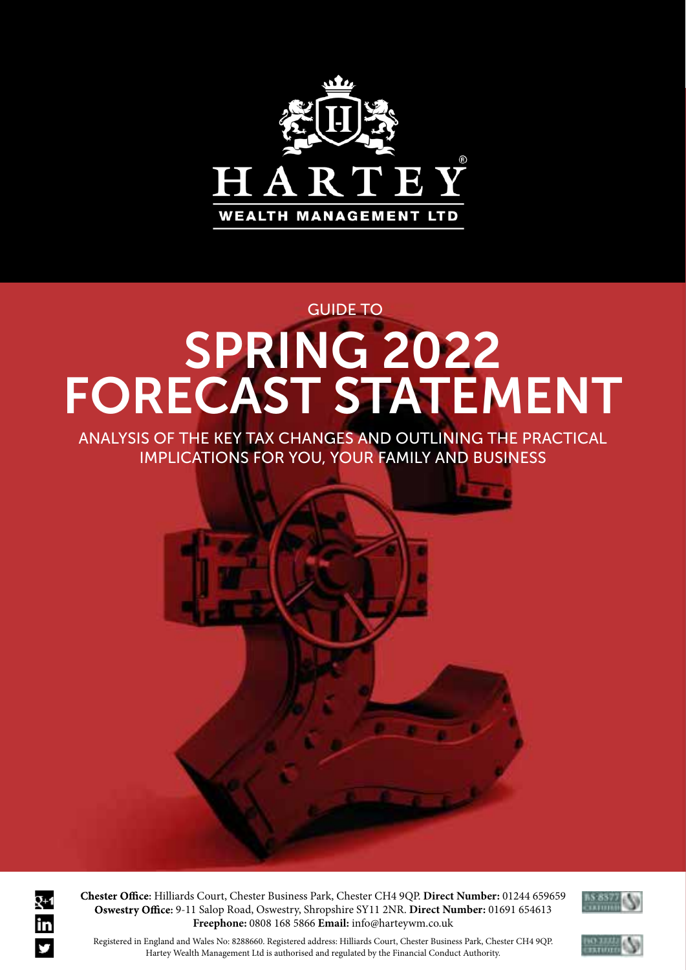

## SPRING 2022 FORECAST STATEMENT GUIDE TO

ANALYSIS OF THE KEY TAX CHANGES AND OUTLINING THE PRACTICAL IMPLICATIONS FOR YOU, YOUR FAMILY AND BUSINESS



fice: 9-11 Salop Road, Oswestry, Shropshire SY11 2NR. Direct Number: 01691 654613 Freephone: 0808 168 5866 Email: info@harteywm.co.uk Hilliards Court, Chester Business Park, Chester CH4 9QP. **Direct Number:** 01244 659659



registered in England and Wales No: 8288660. Registered address: Hilliards Court, Chester Business Park, Chester CH4 9QP.<br>Registered in England and Wales No: 8288660. Registered address: Hilliards Court, Chester Business P Hartey Wealth Management Ltd is authorised and regulated by the Financial Conduct Authority.

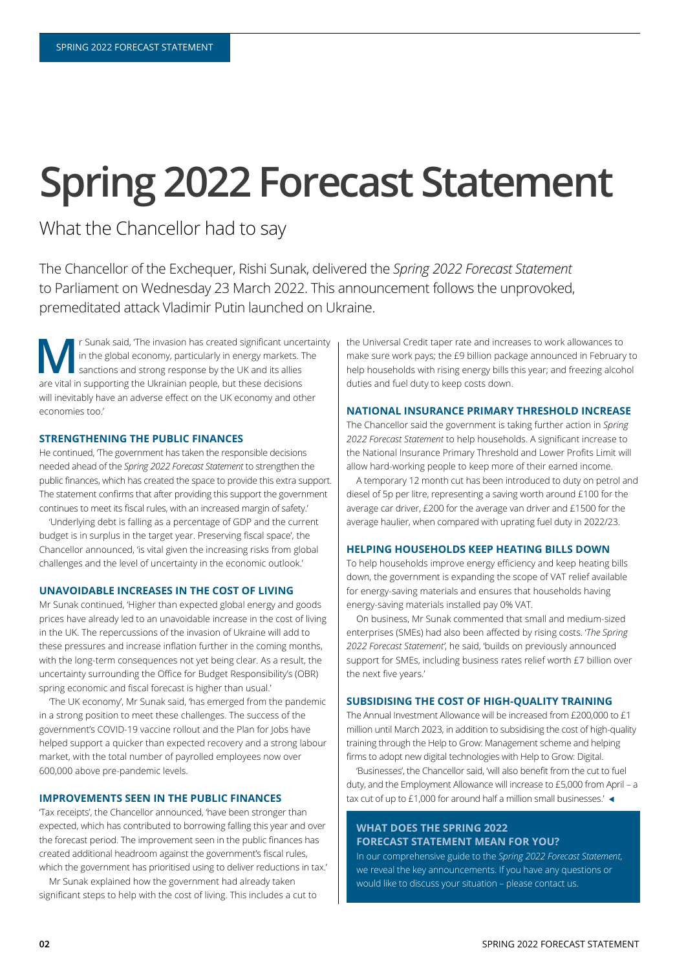# **Spring 2022 Forecast Statement**

### What the Chancellor had to say

The Chancellor of the Exchequer, Rishi Sunak, delivered the Spring 2022 Forecast Statement to Parliament on Wednesday 23 March 2022. This announcement follows the unprovoked, premeditated attack Vladimir Putin launched on Ukraine.

r Sunak said, 'The invasion has created significant uncertainty in the global economy, particularly in energy markets. The sanctions and strong response by the UK and its allies are vital in supporting the Ukrainian people, but these decisions will inevitably have an adverse effect on the UK economy and other economies too.'

#### **STRENGTHENING THE PUBLIC FINANCES**

He continued, The government has taken the responsible decisions needed ahead of the *Spring 2022 Forecast Statement* to strengthen the public finances, which has created the space to provide this extra support. The statement confirms that after providing this support the government continues to meet its fiscal rules, with an increased margin of safety.'

'Underlying debt is falling as a percentage of GDP and the current budget is in surplus in the target year. Preserving fiscal space', the Chancellor announced, 'is vital given the increasing risks from global challenges and the level of uncertainty in the economic outlook.

#### **UNAVOIDABLE INCREASES IN THE COST OF LIVING**

Mr Sunak continued, 'Higher than expected global energy and goods prices have already led to an unavoidable increase in the cost of living in the UK. The repercussions of the invasion of Ukraine will add to these pressures and increase inflation further in the coming months, with the long-term consequences not yet being clear. As a result, the uncertainty surrounding the Office for Budget Responsibility's (OBR) spring economic and fiscal forecast is higher than usual.'

The UK economy, Mr Sunak said, 'has emerged from the pandemic in a strong position to meet these challenges. The success of the government's COVID-19 vaccine rollout and the Plan for Jobs have helped support a quicker than expected recovery and a strong labour market, with the total number of payrolled employees now over 600,000 above pre-pandemic levels.

#### **IMPROVEMENTS SEEN IN THE PUBLIC FINANCES**

Tax receipts', the Chancellor announced, 'have been stronger than expected, which has contributed to borrowing falling this year and over the forecast period. The improvement seen in the public finances has created additional headroom against the government's fiscal rules. which the government has prioritised using to deliver reductions in tax.'

Mr Sunak explained how the government had already taken significant steps to help with the cost of living. This includes a cut to the Universal Credit taper rate and increases to work allowances to make sure work pays; the £9 billion package announced in February to help households with rising energy bills this year; and freezing alcohol duties and fuel duty to keep costs down.

#### **NATIONAL INSURANCE PRIMARY THRESHOLD INCREASE**

The Chancellor said the government is taking further action in *Spring*  2022 Forecast Statement to help households. A significant increase to the National Insurance Primary Threshold and Lower Profits Limit will allow hard-working people to keep more of their earned income.

A temporary 12 month cut has been introduced to duty on petrol and diesel of 5p per litre, representing a saving worth around £100 for the average car driver, £200 for the average van driver and £1500 for the average haulier, when compared with uprating fuel duty in 2022/23.

#### **HELPING HOUSEHOLDS KEEP HEATING BILLS DOWN**

To help households improve energy efficiency and keep heating bills down, the government is expanding the scope of VAT relief available for energy-saying materials and ensures that households having energy-saving materials installed pay 0% VAT.

On business, Mr Sunak commented that small and medium-sized enterprises (SMEs) had also been affected by rising costs. 'The Spring 2022 Forecast Statement', he said, 'builds on previously announced support for SMEs, including business rates relief worth £7 billion over the next five years.'

#### **SUBSIDISING THE COST OF HIGH-QUALITY TRAINING**

The Annual Investment Allowance will be increased from £200,000 to £1 million until March 2023, in addition to subsidising the cost of high-quality training through the Help to Grow: Management scheme and helping firms to adopt new digital technologies with Help to Grow: Digital.

'Businesses', the Chancellor said, 'will also benefit from the cut to fuel duty, and the Employment Allowance will increase to  $£5,000$  from April - a tax cut of up to £1,000 for around half a million small businesses.' $\blacktriangleleft$ 

#### **WHAT DOES THE SPRING 2022 FORECAST STATEMENT MEAN FOR YOU?**

In our comprehensive guide to the Spring 2022 Forecast Statement, we reveal the key announcements. If you have any questions or would like to discuss your situation - please contact us.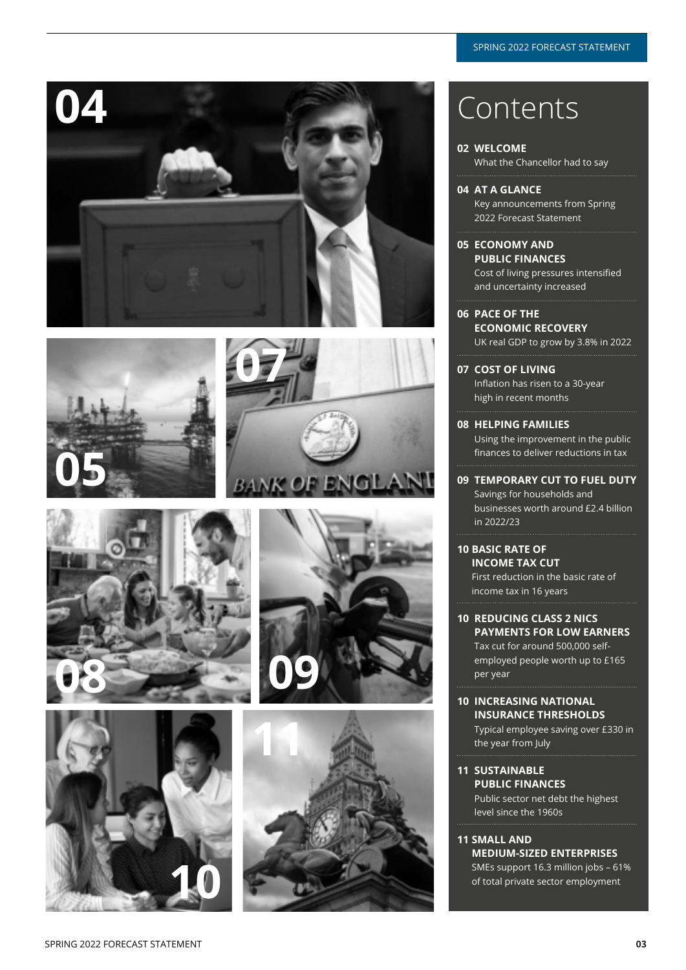













### **04** Contents

#### **02 WELCOME**  What the Chancellor had to say

- **04 AT A GLANCE**  Key announcements from Spring 2022 Forecast Statement
- **05 ECONOMY AND PUBLIC FINANCES**  Cost of living pressures intensified and uncertainty increased
- **06 PACE OF THE ECONOMIC RECOVERY**  UK real GDP to grow by 3.8% in 2022
- **07 COST OF LIVING**  Inflation has risen to a 30-year high in recent months
- **08 HELPING FAMILIES**  Using the improvement in the public finances to deliver reductions in tax
- **09 TEMPORARY CUT TO FUEL DUTY**  Savings for households and businesses worth around £2.4 billion in 2022/23
- **10 BASIC RATE OF INCOME TAX CUT**  First reduction in the basic rate of income tax in 16 years
- **10 REDUCING CLASS 2 NICS PAYMENTS FOR LOW EARNERS**  Tax cut for around 500,000 selfemployed people worth up to £165 per year
- **10 INCREASING NATIONAL INSURANCE THRESHOLDS**  Typical employee saving over £330 in the year from July
- **11 SUSTAINABLE PUBLIC FINANCES**  Public sector net debt the highest level since the 1960s
- **11 SMALL AND MEDIUM-SIZED ENTERPRISES**  SMEs support 16.3 million jobs - 61% of total private sector employment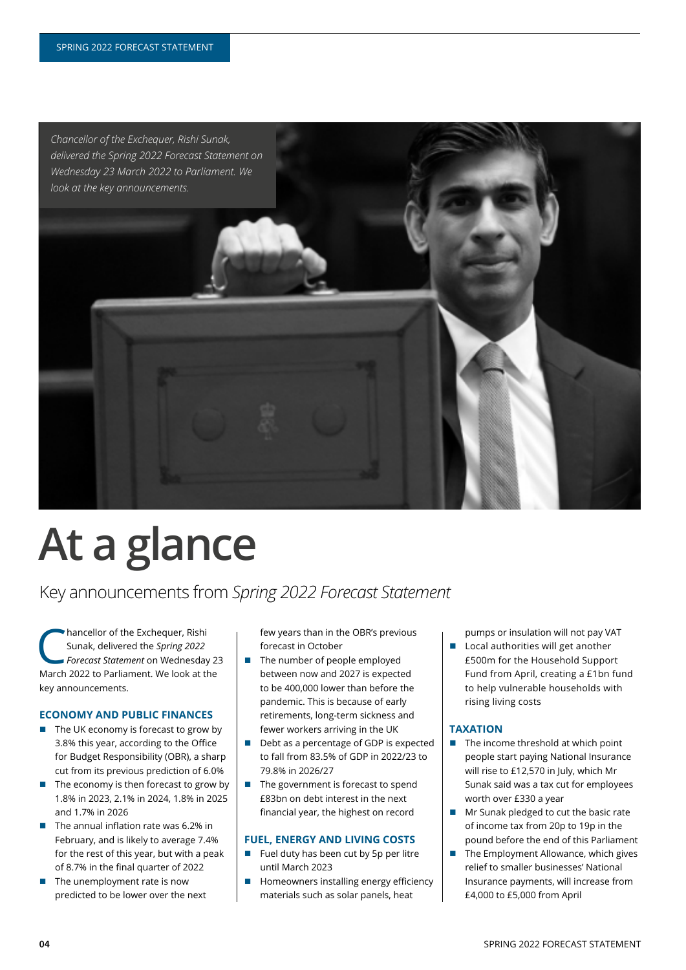

# **At a glance**

### Key announcements from Spring 2022 Forecast Statement

hancellor of the Exchequer, Rishi Sunak, delivered the Spring 2022 *Forecast Statement* on Wednesday 23 March 2022 to Parliament. We look at the key announcements.

#### **ECONOMY AND PUBLIC FINANCES**

- $\blacksquare$  The UK economy is forecast to grow by 3.8% this year, according to the Office for Budget Responsibility (OBR), a sharp cut from its previous prediction of 6.0%
- $\blacksquare$  The economy is then forecast to grow by 1.8% in 2023, 2.1% in 2024, 1.8% in 2025 and 1.7% in 2026
- $\blacksquare$  The annual inflation rate was 6.2% in February, and is likely to average 7.4% for the rest of this year, but with a peak of 8.7% in the final quarter of 2022
- The unemployment rate is now predicted to be lower over the next

few years than in the OBR's previous forecast in October

- The number of people employed between now and 2027 is expected to be 400,000 lower than before the pandemic. This is because of early retirements, long-term sickness and fewer workers arriving in the UK
- $\blacksquare$  Debt as a percentage of GDP is expected to fall from 83.5% of GDP in 2022/23 to 79.8% in 2026/27
- $\blacksquare$  The government is forecast to spend £83bn on debt interest in the next financial year, the highest on record

#### **FUEL, ENERGY AND LIVING COSTS**

- $\blacksquare$  Fuel duty has been cut by 5p per litre until March 2023
- Homeowners installing energy efficiency materials such as solar panels, heat

pumps or insulation will not pay VAT

■ Local authorities will get another £500m for the Household Support Fund from April, creating a £1bn fund to help vulnerable households with rising living costs

#### **TAXATION**

- $\blacksquare$  The income threshold at which point people start paying National Insurance will rise to £12,570 in July, which Mr Sunak said was a tax cut for employees worth over £330 a year
- Mr Sunak pledged to cut the basic rate of income tax from 20p to 19p in the pound before the end of this Parliament
- The Employment Allowance, which gives relief to smaller businesses' National Insurance payments, will increase from  $E4,000$  to  $E5,000$  from April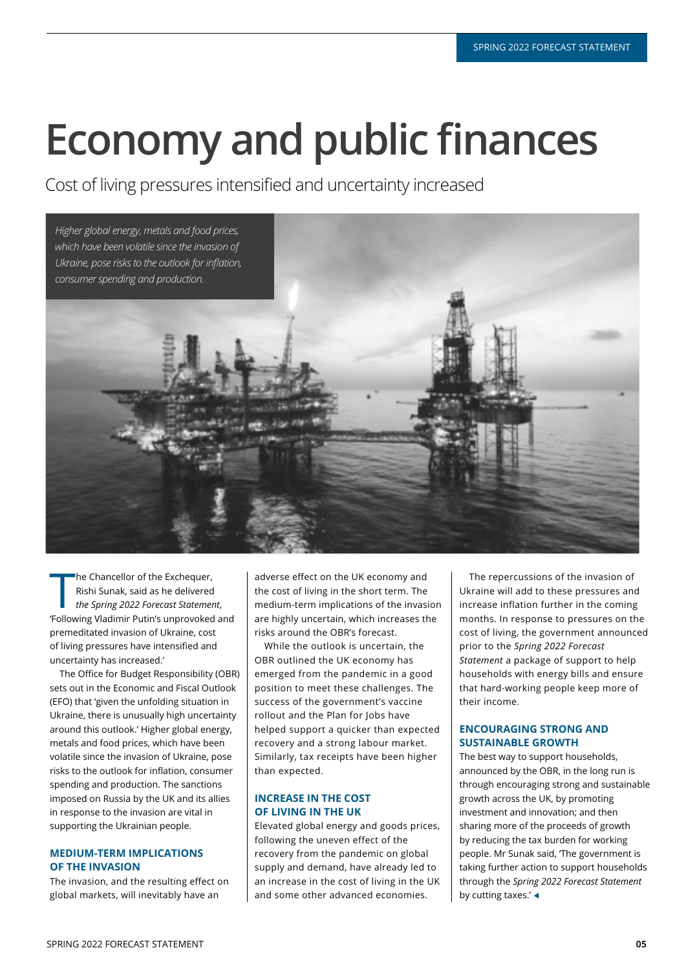# **Economy and public finances**

Cost of living pressures intensified and uncertainty increased



The Chancellor of the Exchequer,<br>
Rishi Sunak, said as he delivered<br>
the Spring 2022 Forecast Statement,<br>
"Following Vladimir Putin's unprovoked and The Chancellor of the Exchequer. Rishi Sunak, said as he delivered *the Spring 2022 Forecast Statement* premeditated invasion of Ukraine, cost of living pressures have intensified and uncertainty has increased.'

The Office for Budget Responsibility (OBR) sets out in the Economic and Fiscal Outlook (EFO) that 'given the unfolding situation in Ukraine, there is unusually high uncertainty around this outlook.' Higher global energy, metals and food prices, which have been volatile since the invasion of Ukraine, pose risks to the outlook for inflation, consumer spending and production. The sanctions imposed on Russia by the UK and its allies in response to the invasion are vital in supporting the Ukrainian people.

#### **MEDIUM-TERM IMPLICATIONS OF THE INVASION**

The invasion, and the resulting effect on global markets, will inevitably have an

adverse effect on the UK economy and the cost of living in the short term. The medium-term implications of the invasion are highly uncertain, which increases the risks around the OBR's forecast.

While the outlook is uncertain, the OBR outlined the UK economy has emerged from the pandemic in a good position to meet these challenges. The success of the government's vaccine rollout and the Plan for Jobs have helped support a quicker than expected recovery and a strong labour market. Similarly, tax receipts have been higher than expected.

#### **INCREASE IN THE COST OF LIVING IN THE UK**

Elevated global energy and goods prices, following the uneven effect of the recovery from the pandemic on global supply and demand, have already led to an increase in the cost of living in the UK and some other advanced economies.

The repercussions of the invasion of Ukraine will add to these pressures and increase inflation further in the coming months. In response to pressures on the cost of living, the government announced prior to the *Spring 2022 Forecast Statement* a package of support to help households with energy bills and ensure that hard-working people keep more of their income.

#### **ENCOURAGING STRONG AND SUSTAINABLE GROWTH**

The best way to support households. announced by the OBR, in the long run is through encouraging strong and sustainable growth across the UK, by promoting investment and innovation; and then sharing more of the proceeds of growth by reducing the tax burden for working people. Mr Sunak said. The government is taking further action to support households through the *Spring 2022 Forecast Statement* by cutting taxes.' $\blacktriangleleft$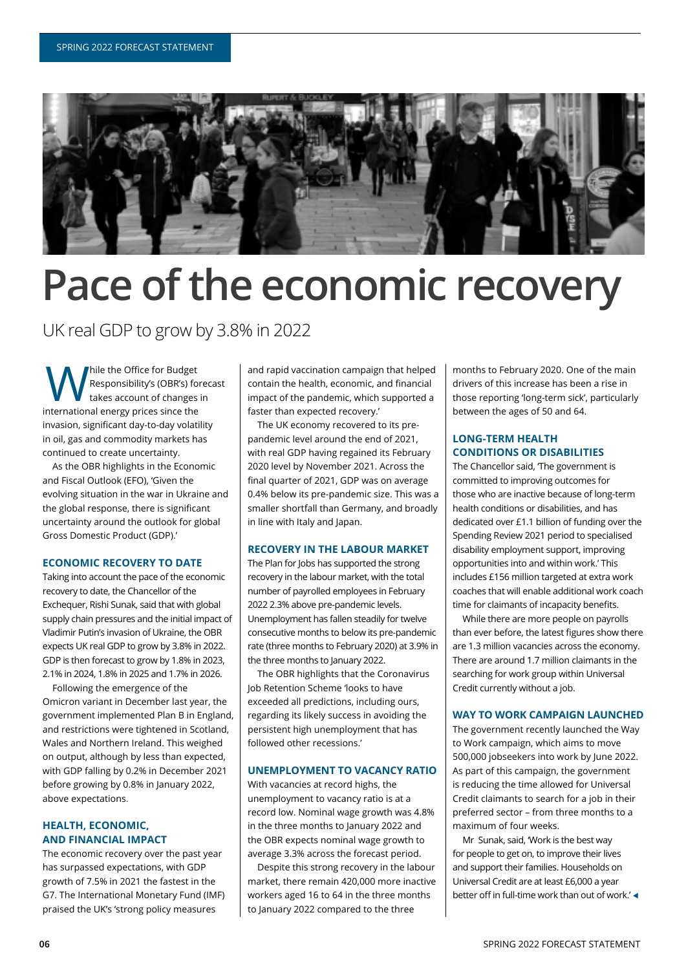

## **Pace of the economic recovery**

UK real GDP to grow by 3.8% in 2022

While the Office for Budget<br>Responsibility's (OBR's) for<br>the saccount of changes<br>attending a party price since the Responsibility's (OBR's) forecast takes account of changes in international energy prices since the invasion, significant day-to-day volatility in oil, gas and commodity markets has continued to create uncertainty.

As the OBR highlights in the Economic and Fiscal Outlook (EFO), 'Given the evolving situation in the war in Ukraine and the global response, there is significant uncertainty around the outlook for global Gross Domestic Product (GDP).'

#### **ECONOMIC RECOVERY TO DATE**

Taking into account the pace of the economic recovery to date, the Chancellor of the Exchequer, Rishi Sunak, said that with global supply chain pressures and the initial impact of Vladimir Putin's invasion of Ukraine, the OBR expects UK real GDP to grow by 3.8% in 2022. GDP is then forecast to grow by 1.8% in 2023. 2.1% in 2024, 1.8% in 2025 and 1.7% in 2026.

Following the emergence of the Omicron variant in December last year, the government implemented Plan B in England. and restrictions were tightened in Scotland, Wales and Northern Ireland. This weighed on output, although by less than expected. with GDP falling by 0.2% in December 2021 before growing by 0.8% in January 2022, above expectations.

#### **HEALTH, ECONOMIC, AND FINANCIAL IMPACT**

The economic recovery over the past year has surpassed expectations, with GDP growth of 7.5% in 2021 the fastest in the G7. The International Monetary Fund (IMF) praised the UK's 'strong policy measures

and rapid vaccination campaign that helped contain the health, economic, and financial impact of the pandemic, which supported a faster than expected recovery.'

The UK economy recovered to its prepandemic level around the end of 2021, with real GDP having regained its February 2020 level by November 2021. Across the final quarter of 2021, GDP was on average 0.4% below its pre-pandemic size. This was a smaller shortfall than Germany, and broadly in line with Italy and Japan.

#### **RECOVERY IN THE LABOUR MARKET**

The Plan for Jobs has supported the strong recovery in the labour market, with the total number of payrolled employees in February 2022 2.3% above pre-pandemic levels. Unemployment has fallen steadily for twelve consecutive months to below its pre-pandemic rate (three months to February 2020) at 3.9% in the three months to January 2022.

The OBR highlights that the Coronavirus Job Retention Scheme 'looks to have exceeded all predictions, including ours, regarding its likely success in avoiding the persistent high unemployment that has followed other recessions.'

#### **UNEMPLOYMENT TO VACANCY RATIO**

With vacancies at record highs, the unemployment to vacancy ratio is at a record low. Nominal wage growth was 4.8% in the three months to January 2022 and the OBR expects nominal wage growth to average 3.3% across the forecast period.

Despite this strong recovery in the labour market, there remain 420,000 more inactive workers aged 16 to 64 in the three months to January 2022 compared to the three

months to February 2020. One of the main drivers of this increase has been a rise in those reporting 'long-term sick', particularly between the ages of 50 and 64.

#### **LONG-TERM HEALTH CONDITIONS OR DISABILITIES**

The Chancellor said, The government is committed to improving outcomes for those who are inactive because of long-term health conditions or disabilities, and has dedicated over £1.1 billion of funding over the Spending Review 2021 period to specialised disability employment support, improving opportunities into and within work.' This includes £156 million targeted at extra work coaches that will enable additional work coach time for claimants of incapacity benefits.

While there are more people on payrolls than ever before, the latest figures show there are 1.3 million vacancies across the economy. There are around 1.7 million claimants in the searching for work group within Universal Credit currently without a job.

#### **WAY TO WORK CAMPAIGN LAUNCHED**

The government recently launched the Way to Work campaign, which aims to move 500.000 iobseekers into work by lune 2022. As part of this campaign, the government is reducing the time allowed for Universal Credit claimants to search for a job in their preferred sector – from three months to a maximum of four weeks.

Mr Sunak, said, 'Work is the best way for people to get on, to improve their lives and support their families. Households on Universal Credit are at least £6,000 a year better off in full-time work than out of work.'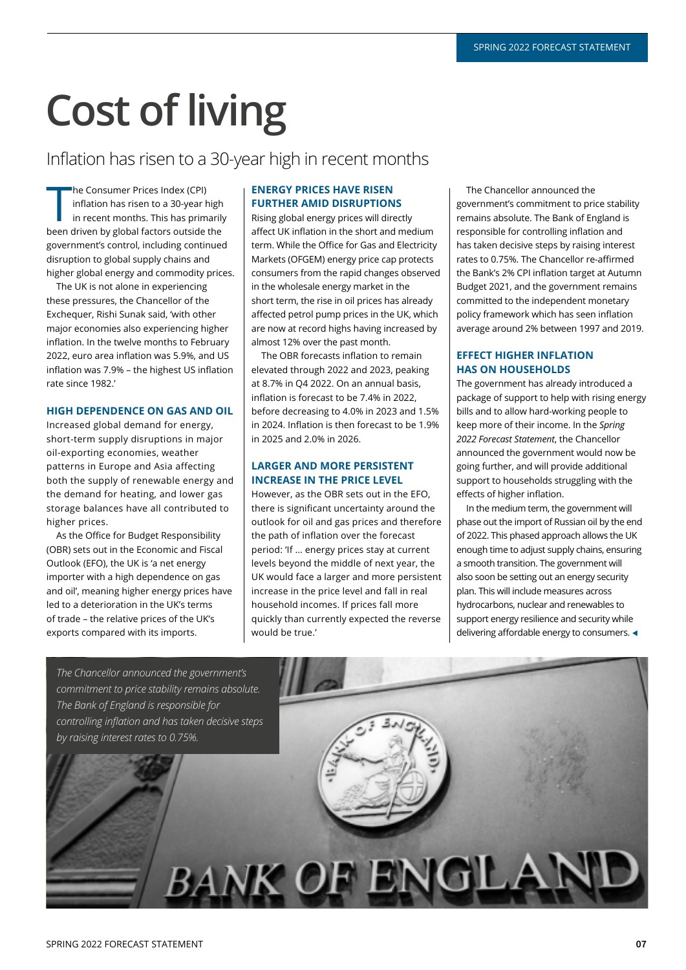# **Cost of living**

### Inflation has risen to a 30-year high in recent months

he Consumer Prices Index (CPI)<br>
inflation has risen to a 30-year high<br>
in recent months. This has primarily<br>
been driven by global factors outside the he Consumer Prices Index (CPI) inflation has risen to a 30-year high in recent months. This has primarily government's control, including continued disruption to global supply chains and higher global energy and commodity prices.

The UK is not alone in experiencing these pressures, the Chancellor of the Exchequer, Rishi Sunak said, 'with other major economies also experiencing higher inflation. In the twelve months to February 2022, euro area inflation was 5.9%, and US inflation was 7.9% - the highest US inflation rate since 1982

#### **HIGH DEPENDENCE ON GAS AND OIL**

Increased global demand for energy, short-term supply disruptions in major oil-exporting economies, weather patterns in Europe and Asia affecting both the supply of renewable energy and the demand for heating, and lower gas storage balances have all contributed to higher prices.

As the Office for Budget Responsibility (OBR) sets out in the Economic and Fiscal Qutlook (FFQ), the UK is 'a net energy importer with a high dependence on gas and oil', meaning higher energy prices have led to a deterioration in the UK's terms of trade - the relative prices of the UK's exports compared with its imports.

#### **ENERGY PRICES HAVE RISEN FURTHER AMID DISRUPTIONS**

Rising global energy prices will directly affect UK inflation in the short and medium term. While the Office for Gas and Electricity Markets (OFGEM) energy price cap protects consumers from the rapid changes observed in the wholesale energy market in the short term, the rise in oil prices has already affected petrol pump prices in the UK, which are now at record highs having increased by almost 12% over the past month.

The OBR forecasts inflation to remain elevated through 2022 and 2023, peaking at 8.7% in Q4 2022. On an annual basis, inflation is forecast to be 7.4% in 2022, before decreasing to 4.0% in 2023 and 1.5% in 2024. Inflation is then forecast to be  $1.9\%$ in 2025 and 2.0% in 2026.

#### **LARGER AND MORE PERSISTENT INCREASE IN THE PRICE LEVEL**

However, as the OBR sets out in the EFO, there is significant uncertainty around the outlook for oil and gas prices and therefore the path of inflation over the forecast period: 'If … energy prices stay at current levels bevond the middle of next year, the UK would face a larger and more persistent increase in the price level and fall in real household incomes. If prices fall more quickly than currently expected the reverse would be true.'

The Chancellor announced the government's commitment to price stability remains absolute. The Bank of England is responsible for controlling inflation and has taken decisive steps by raising interest rates to 0.75%. The Chancellor re-affirmed the Bank's 2% CPI inflation target at Autumn Budget 2021, and the government remains committed to the independent monetary policy framework which has seen inflation average around 2% between 1997 and 2019.

#### **EFFECT HIGHER INFLATION HAS ON HOUSEHOLDS**

The government has already introduced a package of support to help with rising energy bills and to allow hard-working people to keep more of their income. In the *Spring*  2022 Forecast Statement, the Chancellor announced the government would now be going further, and will provide additional support to households struggling with the effects of higher inflation.

In the medium term, the government will phase out the import of Russian oil by the end of 2022. This phased approach allows the UK enough time to adjust supply chains, ensuring a smooth transition. The government will also soon be setting out an energy security plan. This will include measures across hydrocarbons, nuclear and renewables to support energy resilience and security while delivering affordable energy to consumers. <

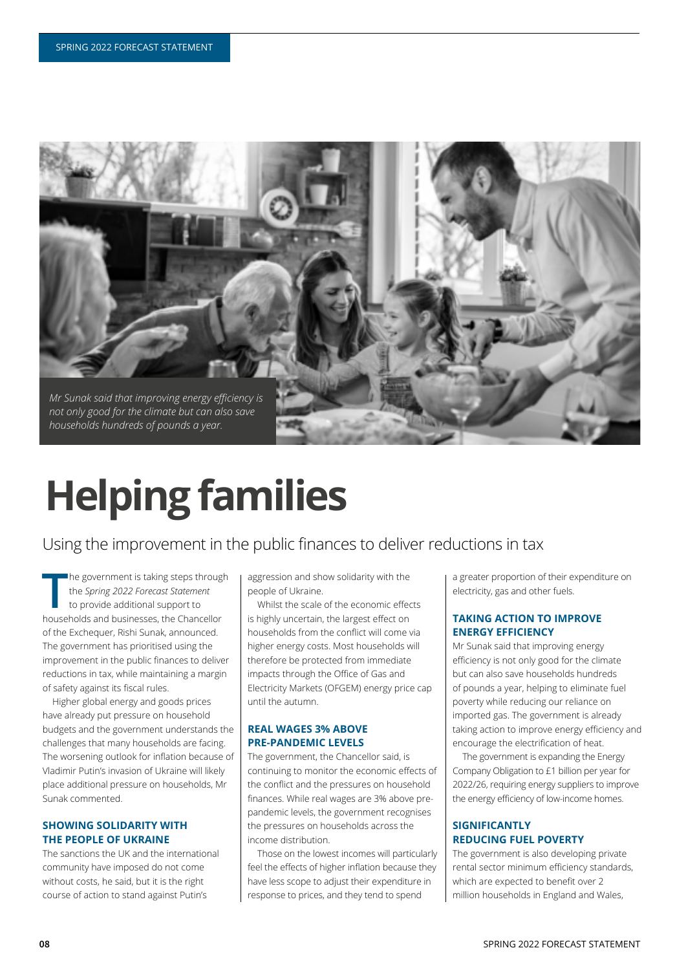

# **Helping families**

### Using the improvement in the public finances to deliver reductions in tax

The government is taking steps throughthe Spring 2022 Forecast Statement to provide additional support to households and businesses, the Chancellor he government is taking steps through the *Spring 2022 Forecast Statement* to provide additional support to of the Exchequer, Rishi Sunak, announced. The government has prioritised using the improvement in the public finances to deliver reductions in tax, while maintaining a margin of safety against its fiscal rules.

Higher global energy and goods prices have already put pressure on household budgets and the government understands the challenges that many households are facing. The worsening outlook for inflation because of Vladimir Putin's invasion of Ukraine will likely place additional pressure on households, Mr Sunak commented.

#### **SHOWING SOLIDARITY WITH THE PEOPLE OF UKRAINE**

The sanctions the UK and the international community have imposed do not come without costs, he said, but it is the right course of action to stand against Putin's

aggression and show solidarity with the people of Ukraine.

Whilst the scale of the economic effects is highly uncertain, the largest effect on households from the conflict will come via higher energy costs. Most households will therefore be protected from immediate impacts through the Office of Gas and Electricity Markets (OFGEM) energy price cap until the autumn

#### **REAL WAGES 3% ABOVE PRE-PANDEMIC LEVELS**

The government, the Chancellor said, is continuing to monitor the economic effects of the conflict and the pressures on household finances. While real wages are 3% above prepandemic levels, the government recognises the pressures on households across the income distribution.

Those on the lowest incomes will particularly feel the effects of higher inflation because they have less scope to adjust their expenditure in response to prices, and they tend to spend

a greater proportion of their expenditure on electricity, gas and other fuels.

#### **TAKING ACTION TO IMPROVE ENERGY EFFICIENCY**

Mr Sunak said that improving energy efficiency is not only good for the climate but can also save households hundreds of pounds a year, helping to eliminate fuel poverty while reducing our reliance on imported gas. The government is already taking action to improve energy efficiency and encourage the electrification of heat.

The government is expanding the Energy Company Obligation to £1 billion per year for 2022/26, requiring energy suppliers to improve the energy efficiency of low-income homes.

#### **SIGNIFICANTLY REDUCING FUEL POVERTY**

The government is also developing private rental sector minimum efficiency standards. which are expected to benefit over 2 million households in England and Wales,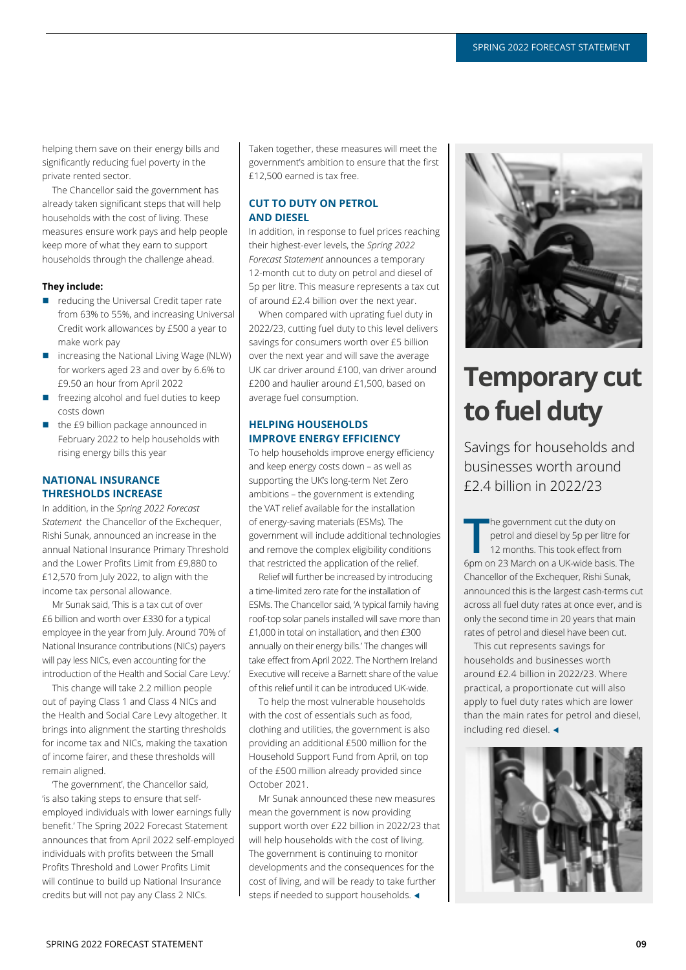helping them save on their energy bills and significantly reducing fuel poverty in the private rented sector.

The Chancellor said the government has already taken significant steps that will help households with the cost of living. These measures ensure work pays and help people keep more of what they earn to support households through the challenge ahead.

#### **They include:**

- $\blacksquare$  reducing the Universal Credit taper rate from 63% to 55%, and increasing Universal Credit work allowances by £500 a year to make work pay
- increasing the National Living Wage (NLW) for workers aged 23 and over by 6.6% to £9.50 an hour from April 2022
- $\Box$  freezing alcohol and fuel duties to keep costs down
- the £9 billion package announced in February 2022 to help households with rising energy bills this year

#### **NATIONAL INSURANCE THRESHOLDS INCREASE**

In addition, in the Spring 2022 Forecast *Statement* the Chancellor of the Exchequer. Rishi Sunak, announced an increase in the annual National Insurance Primary Threshold and the Lower Profits Limit from £9,880 to £12,570 from July 2022, to align with the income tax personal allowance.

Mr Sunak said, This is a tax cut of over £6 billion and worth over £330 for a typical employee in the year from July. Around 70% of National Insurance contributions (NICs) payers will pay less NICs, even accounting for the introduction of the Health and Social Care Levy.'

This change will take 2.2 million people out of paving Class 1 and Class 4 NICs and the Health and Social Care Lew altogether. It brings into alignment the starting thresholds for income tax and NICs, making the taxation of income fairer, and these thresholds will remain aligned.

The government', the Chancellor said, 'is also taking steps to ensure that selfemployed individuals with lower earnings fully benefit.' The Spring 2022 Forecast Statement announces that from April 2022 self-employed individuals with profits between the Small Profits Threshold and Lower Profits Limit will continue to build up National Insurance credits but will not pay any Class 2 NICs.

Taken together, these measures will meet the government's ambition to ensure that the first  $f12.500$  earned is tax free.

#### **CUT TO DUTY ON PETROL AND DIESEL**

In addition, in response to fuel prices reaching their highest-ever levels, the *Spring 2022 Forecast Statement* announces a temporary 12-month cut to duty on petrol and diesel of 5p per litre. This measure represents a tax cut of around £2.4 billion over the next year.

When compared with uprating fuel duty in 2022/23, cutting fuel duty to this level delivers savings for consumers worth over £5 billion over the next year and will save the average UK car driver around £100, van driver around £200 and haulier around £1,500, based on average fuel consumption.

#### **HELPING HOUSEHOLDS IMPROVE ENERGY EFFICIENCY**

To help households improve energy efficiency and keep energy costs down - as well as supporting the UK's long-term Net Zero ambitions - the government is extending the VAT relief available for the installation of energy-saving materials (ESMs). The government will include additional technologies and remove the complex eligibility conditions that restricted the application of the relief

Relief will further be increased by introducing a time-limited zero rate for the installation of ESMs. The Chancellor said, 'A typical family having roof-top solar panels installed will save more than £1,000 in total on installation, and then  $£300$ annually on their energy bills.' The changes will take effect from April 2022. The Northern Ireland Executive will receive a Barnett share of the value of this relief until it can be introduced UK-wide.

To help the most vulnerable households with the cost of essentials such as food, clothing and utilities, the government is also providing an additional £500 million for the Household Support Fund from April, on top of the £500 million already provided since October 2021.

Mr Sunak announced these new measures mean the government is now providing support worth over £22 billion in 2022/23 that will help households with the cost of living. The government is continuing to monitor developments and the consequences for the cost of living, and will be ready to take further steps if needed to support households. <



### **Temporary cut to fuel duty**

Savings for households and businesses worth around £2.4 billion in 2022/23

The government cut the duty on<br>
petrol and diesel by 5p per litre for<br>
12 months. This took effect from<br>
6pm on 23 March on a UK-wide basis. The The government cut the duty on petrol and diesel by 5p per litre for 12 months. This took effect from Chancellor of the Exchequer, Rishi Sunak. announced this is the largest cash-terms cut across all fuel duty rates at once ever, and is only the second time in 20 years that main rates of petrol and diesel have been cut.

This cut represents savings for households and businesses worth around £2.4 billion in 2022/23. Where practical, a proportionate cut will also apply to fuel duty rates which are lower than the main rates for petrol and diesel. including red diesel.  $\triangleleft$ 

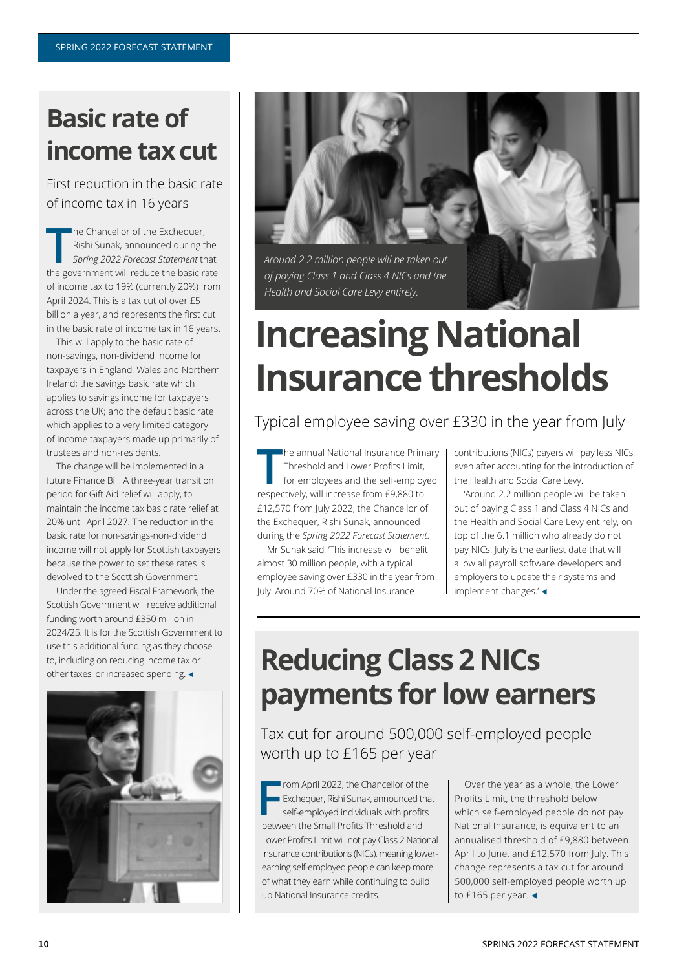### **Basic rate of income tax cut**

First reduction in the basic rate of income tax in 16 years

The Chancellor of the Exchequer,<br>
Rishi Sunak, announced during the<br>
Spring 2022 Forecast Statement that<br>
the government will reduce the basic rate The Chancellor of the Exchequer, Rishi Sunak, announced during the *Spring 2022 Forecast Statement* that of income tax to 19% (currently 20%) from April 2024. This is a tax cut of over £5 billion a year, and represents the first cut in the basic rate of income tax in 16 years.

This will apply to the basic rate of non-savings, non-dividend income for taxpayers in England, Wales and Northern Ireland; the savings basic rate which applies to savings income for taxpayers across the UK; and the default basic rate which applies to a very limited category of income taxpayers made up primarily of trustees and non-residents.

The change will be implemented in a future Finance Bill. A three-year transition period for Gift Aid relief will apply, to maintain the income tax basic rate relief at 20% until April 2027. The reduction in the basic rate for non-savings-non-dividend income will not apply for Scottish taxpayers because the nower to set these rates is devolved to the Scottish Government.

Under the agreed Fiscal Framework, the Scottish Government will receive additional funding worth around £350 million in 2024/25. It is for the Scottish Government to use this additional funding as they choose to, including on reducing income tax or other taxes, or increased spending.  $\triangleleft$ 





*of paying Class 1 and Class 4 NICs and the Health and Social Care Levy entirely.* 

## **Increasing National Insurance thresholds**

Typical employee saving over £330 in the year from July

**The annual National Insurance Prim<br>
Threshold and Lower Profits Limit,<br>
for employees and the self-employ<br>
respectively, will increase from £9,880 to The annual National Insurance Primary** Threshold and Lower Profits Limit. for employees and the self-employed £12,570 from July 2022, the Chancellor of the Exchequer, Rishi Sunak, announced during the *Spring 2022 Forecast Statement*

Mr Sunak said, This increase will benefit almost 30 million people, with a typical employee saving over £330 in the year from luly. Around 70% of National Insurance

contributions (NICs) payers will pay less NICs, even after accounting for the introduction of the Health and Social Care Levy.

'Around 2.2 million people will be taken out of paying Class 1 and Class 4 NICs and the Health and Social Care Levy entirely, on top of the 6.1 million who already do not pay NICs. July is the earliest date that will allow all payroll software developers and employers to update their systems and implement changes. $'$ 

## **Reducing Class 2 NICs payments for low earners**

Tax cut for around 500,000 self-employed people worth up to £165 per year

**From April 2022, the Chancellor of the Exchequer, Rishi Sunak, announced the self-employed individuals with profit between the Small Profits Threshold and** rom April 2022, the Chancellor of the **Exchequer, Rishi Sunak, announced that** self-employed individuals with profits Lower Profits Limit will not pay Class 2 National Insurance contributions (NICs), meaning lowerearning self-employed people can keep more of what they earn while continuing to build up National Insurance credits.

Over the year as a whole, the Lower Profits Limit, the threshold below which self-employed people do not pay National Insurance, is equivalent to an annualised threshold of £9.880 between April to lune, and £12,570 from July. This change represents a tax cut for around 500,000 self-employed people worth up to £165 per year.  $\triangleleft$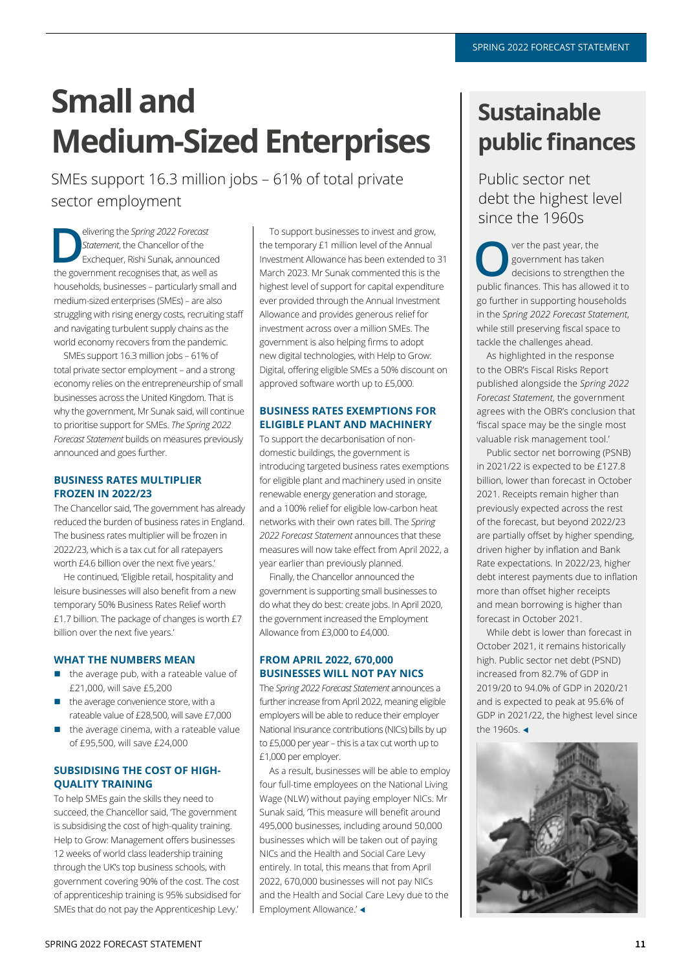## **Small and Medium-Sized Enterprises**

SMEs support 16.3 million jobs - 61% of total private sector employment

elivering the *Spring 2022 Forecast*<br> *Statement*, the Chancellor of the<br>
Exchequer, Rishi Sunak, announced<br>
the generalized recognises that as well as *Statement*, the Chancellor of the the government recognises that, as well as households, businesses - particularly small and medium-sized enterprises (SMEs) - are also struggling with rising energy costs, recruiting staff and navigating turbulent supply chains as the world economy recovers from the pandemic.

SMEs support 16.3 million jobs - 61% of total private sector employment - and a strong economy relies on the entrepreneurship of small businesses across the United Kingdom. That is why the government, Mr Sunak said, will continue to prioritise support for SMEs. The Spring 2022 *Forecast Statement* builds on measures previously announced and goes further.

#### **BUSINESS RATES MULTIPLIER FROZEN IN 2022/23**

The Chancellor said, The government has already reduced the burden of business rates in England. The business rates multiplier will be frozen in 2022/23, which is a tax cut for all ratepayers worth £4.6 billion over the next five years.

He continued, 'Eligible retail, hospitality and leisure businesses will also benefit from a new temporary 50% Business Rates Relief worth £1.7 billion. The package of changes is worth  $£7$ billion over the next five years.'

#### **WHAT THE NUMBERS MEAN**

- $\blacksquare$  the average pub, with a rateable value of  $£21,000$ , will save  $£5,200$
- the average convenience store, with a rateable value of £28,500, will save £7,000
- $\blacksquare$  the average cinema, with a rateable value of  $f95,500$ , will save  $f24,000$

#### **SUBSIDISING THE COST OF HIGH-QUALITY TRAINING**

To help SMEs gain the skills they need to succeed, the Chancellor said, 'The government is subsidising the cost of high-quality training. Help to Grow: Management offers businesses 12 weeks of world class leadership training through the UK's top business schools, with government covering 90% of the cost. The cost of apprenticeship training is 95% subsidised for SMEs that do not pay the Apprenticeship Lew.'

To support businesses to invest and grow, the temporary £1 million level of the Annual Investment Allowance has been extended to 31 March 2023. Mr Sunak commented this is the highest level of support for capital expenditure ever provided through the Annual Investment Allowance and provides generous relief for investment across over a million SMEs. The government is also helping firms to adopt new digital technologies, with Help to Grow: Digital, offering eligible SMEs a 50% discount on approved software worth up to £5,000.

#### **BUSINESS RATES EXEMPTIONS FOR ELIGIBLE PLANT AND MACHINERY**

To support the decarbonisation of nondomestic buildings, the government is introducing targeted business rates exemptions for eligible plant and machinery used in onsite renewable energy generation and storage, and a 100% relief for eligible low-carbon heat networks with their own rates bill. The Spring *2022 Forecast Statement* announces that these measures will now take effect from April 2022, a year earlier than previously planned.

Finally, the Chancellor announced the government is supporting small businesses to do what they do best: create jobs. In April 2020, the government increased the Employment Allowance from £3,000 to £4,000.

#### **FROM APRIL 2022, 670,000 BUSINESSES WILL NOT PAY NICS**

The *Spring 2022 Forecast Statement* announces a further increase from April 2022, meaning eligible employers will be able to reduce their employer National Insurance contributions (NICs) bills by up to  $£5,000$  per year  $-$  this is a tax cut worth up to  $£1,000$  per employer.

As a result, businesses will be able to employ four full-time employees on the National Living Wage (NLW) without paying employer NICs. Mr Sunak said, This measure will benefit around 495,000 businesses, including around 50,000 businesses which will be taken out of paving NICs and the Health and Social Care Lew entirely. In total, this means that from April 2022, 670,000 businesses will not pay NICs and the Health and Social Care Levy due to the Employment Allowance.'

### **Sustainable public finances**

Public sector net debt the highest level since the 1960s

**O**Y ver the past year, the government has taked<br>decisions to strengtheness This based government has taken decisions to strengthen the public finances. This has allowed it to go further in supporting households in the *Spring 2022 Forecast Statement*, while still preserving fiscal space to tackle the challenges ahead.

As highlighted in the response to the OBR's Fiscal Risks Report published alongside the Spring 2022 *Forecast Statement*, the government agrees with the OBR's conclusion that 'fiscal space may be the single most valuable risk management tool.'

Public sector net borrowing (PSNB) in 2021/22 is expected to be £127.8 billion, lower than forecast in October 2021. Receipts remain higher than previously expected across the rest of the forecast, but beyond 2022/23 are partially offset by higher spending, driven higher by inflation and Bank Rate expectations. In 2022/23, higher debt interest payments due to inflation more than offset higher receipts and mean borrowing is higher than forecast in October 2021

While debt is lower than forecast in October 2021, it remains historically high. Public sector net debt (PSND) increased from 82.7% of GDP in 2019/20 to 94.0% of GDP in 2020/21 and is expected to peak at 95.6% of GDP in 2021/22, the highest level since the 1960s  $\triangleleft$